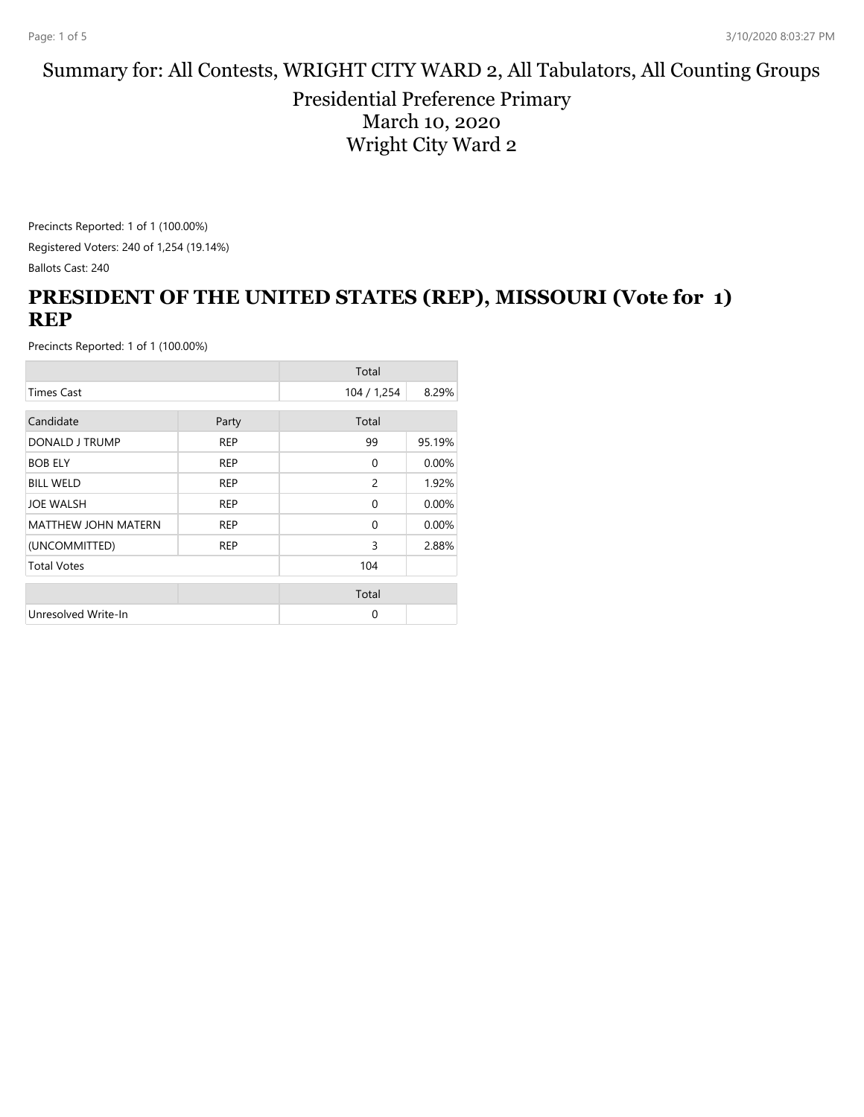#### Summary for: All Contests, WRIGHT CITY WARD 2, All Tabulators, All Counting Groups

Presidential Preference Primary March 10, 2020 Wright City Ward 2

Precincts Reported: 1 of 1 (100.00%) Registered Voters: 240 of 1,254 (19.14%) Ballots Cast: 240

### **PRESIDENT OF THE UNITED STATES (REP), MISSOURI (Vote for 1) REP**

|                            |            | Total          |        |
|----------------------------|------------|----------------|--------|
| <b>Times Cast</b>          |            | 104 / 1,254    | 8.29%  |
|                            |            |                |        |
| Candidate                  | Party      | Total          |        |
| DONALD J TRUMP             | <b>REP</b> | 99             | 95.19% |
| <b>BOB ELY</b>             | <b>REP</b> | $\Omega$       | 0.00%  |
| <b>BILL WELD</b>           | <b>REP</b> | $\overline{c}$ | 1.92%  |
| <b>JOE WALSH</b>           | <b>REP</b> | $\Omega$       | 0.00%  |
| <b>MATTHEW JOHN MATERN</b> | <b>REP</b> | $\Omega$       | 0.00%  |
| (UNCOMMITTED)              | <b>REP</b> | 3              | 2.88%  |
| <b>Total Votes</b>         |            | 104            |        |
|                            |            | Total          |        |
|                            |            |                |        |
| Unresolved Write-In        |            | $\Omega$       |        |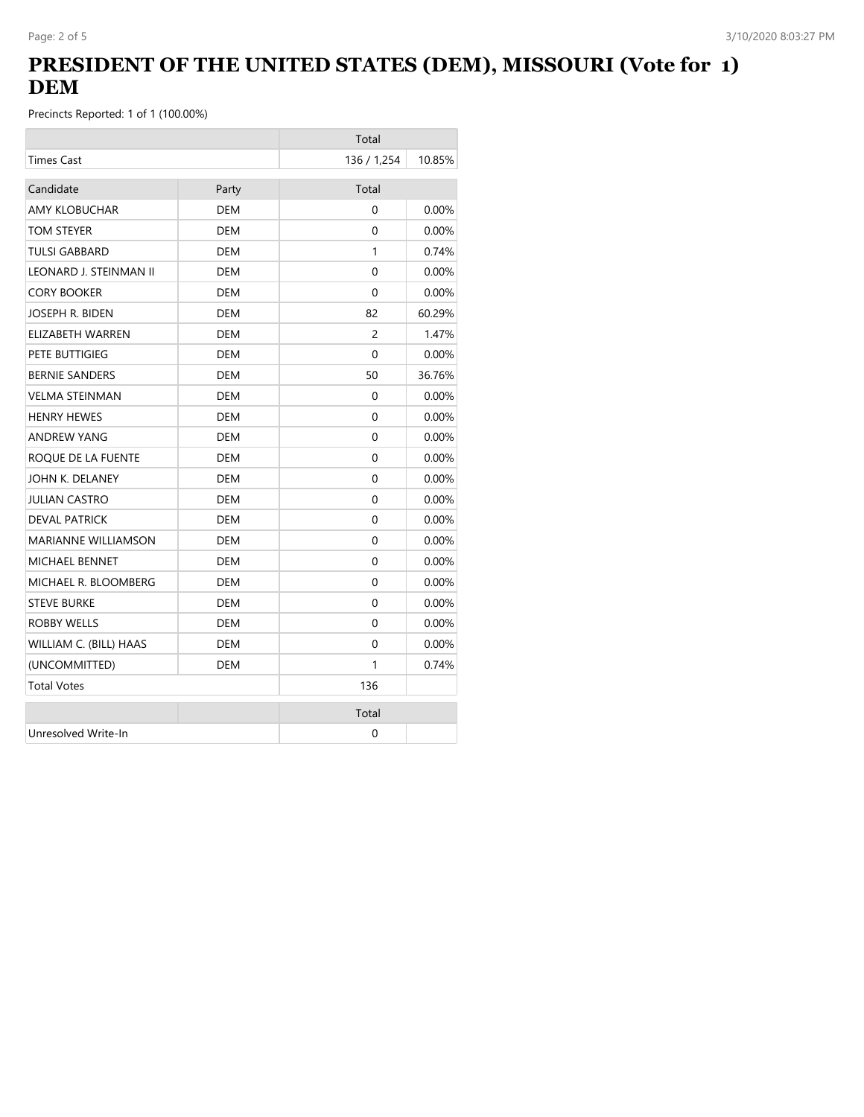## **PRESIDENT OF THE UNITED STATES (DEM), MISSOURI (Vote for 1) DEM**

|                            |            | Total       |          |
|----------------------------|------------|-------------|----------|
| <b>Times Cast</b>          |            | 136 / 1,254 | 10.85%   |
| Candidate                  | Party      | Total       |          |
| <b>AMY KLOBUCHAR</b>       | <b>DEM</b> | $\Omega$    | 0.00%    |
| TOM STEYER                 | <b>DEM</b> | 0           | 0.00%    |
| <b>TULSI GABBARD</b>       | DEM        | 1           | 0.74%    |
| LEONARD J. STEINMAN II     | DEM        | 0           | $0.00\%$ |
| <b>CORY BOOKER</b>         | <b>DEM</b> | $\Omega$    | 0.00%    |
| JOSEPH R. BIDEN            | <b>DEM</b> | 82          | 60.29%   |
| ELIZABETH WARREN           | DEM        | 2           | 1.47%    |
| PETE BUTTIGIEG             | DEM        | $\Omega$    | $0.00\%$ |
| <b>BERNIE SANDERS</b>      | DEM        | 50          | 36.76%   |
| <b>VELMA STEINMAN</b>      | DEM        | $\Omega$    | $0.00\%$ |
| <b>HENRY HEWES</b>         | <b>DEM</b> | 0           | $0.00\%$ |
| <b>ANDREW YANG</b>         | <b>DEM</b> | $\Omega$    | $0.00\%$ |
| ROQUE DE LA FUENTE         | <b>DEM</b> | 0           | 0.00%    |
| JOHN K. DELANEY            | <b>DEM</b> | $\Omega$    | $0.00\%$ |
| <b>JULIAN CASTRO</b>       | DEM        | $\Omega$    | $0.00\%$ |
| <b>DEVAL PATRICK</b>       | <b>DEM</b> | 0           | 0.00%    |
| <b>MARIANNE WILLIAMSON</b> | <b>DEM</b> | 0           | $0.00\%$ |
| <b>MICHAEL BENNET</b>      | <b>DEM</b> | 0           | 0.00%    |
| MICHAEL R. BLOOMBERG       | <b>DEM</b> | 0           | $0.00\%$ |
| <b>STEVE BURKE</b>         | <b>DEM</b> | 0           | $0.00\%$ |
| <b>ROBBY WELLS</b>         | DEM        | $\Omega$    | $0.00\%$ |
| WILLIAM C. (BILL) HAAS     | DEM        | 0           | $0.00\%$ |
| (UNCOMMITTED)              | DEM        | 1           | 0.74%    |
| <b>Total Votes</b>         |            | 136         |          |
|                            |            | Total       |          |
| Unresolved Write-In        |            | 0           |          |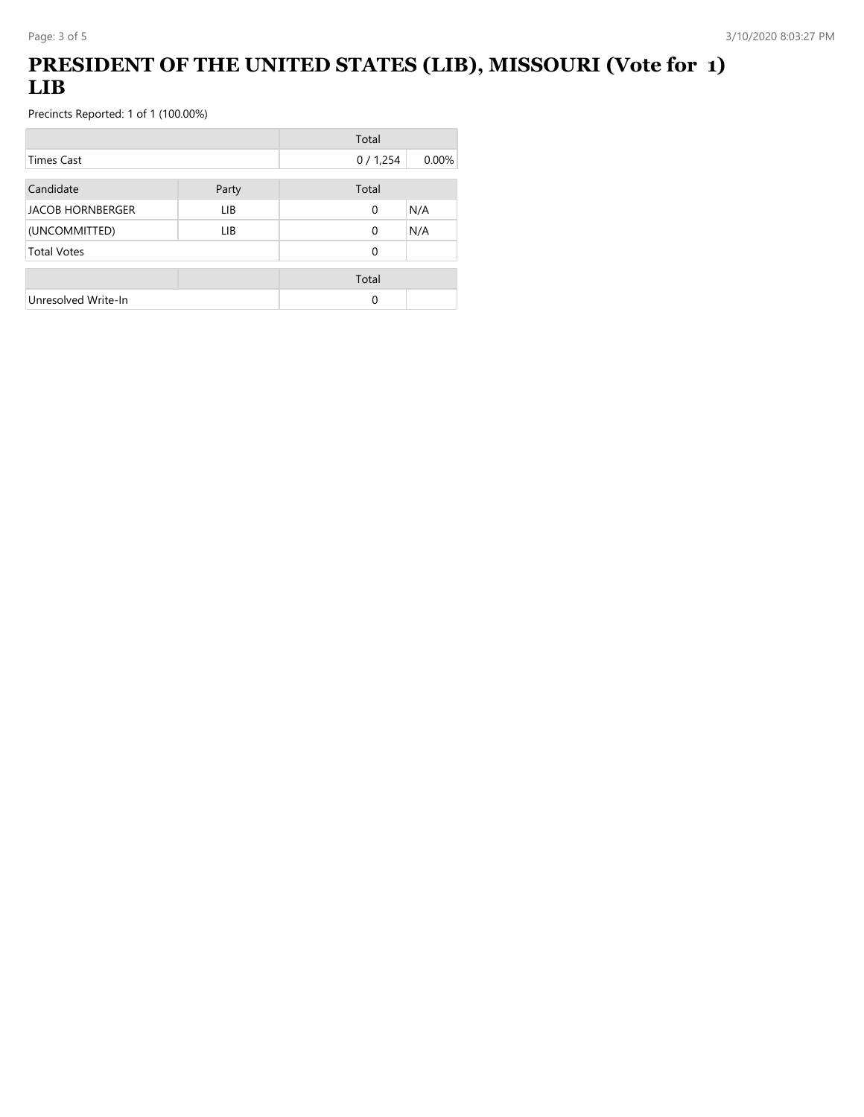# **PRESIDENT OF THE UNITED STATES (LIB), MISSOURI (Vote for 1) LIB**

|                         |       | Total    |       |
|-------------------------|-------|----------|-------|
| <b>Times Cast</b>       |       | 0/1,254  | 0.00% |
| Candidate               | Party | Total    |       |
| <b>JACOB HORNBERGER</b> | LIB.  | 0        | N/A   |
| (UNCOMMITTED)           | LIB   | $\Omega$ | N/A   |
| <b>Total Votes</b>      |       | 0        |       |
|                         |       | Total    |       |
| Unresolved Write-In     |       | 0        |       |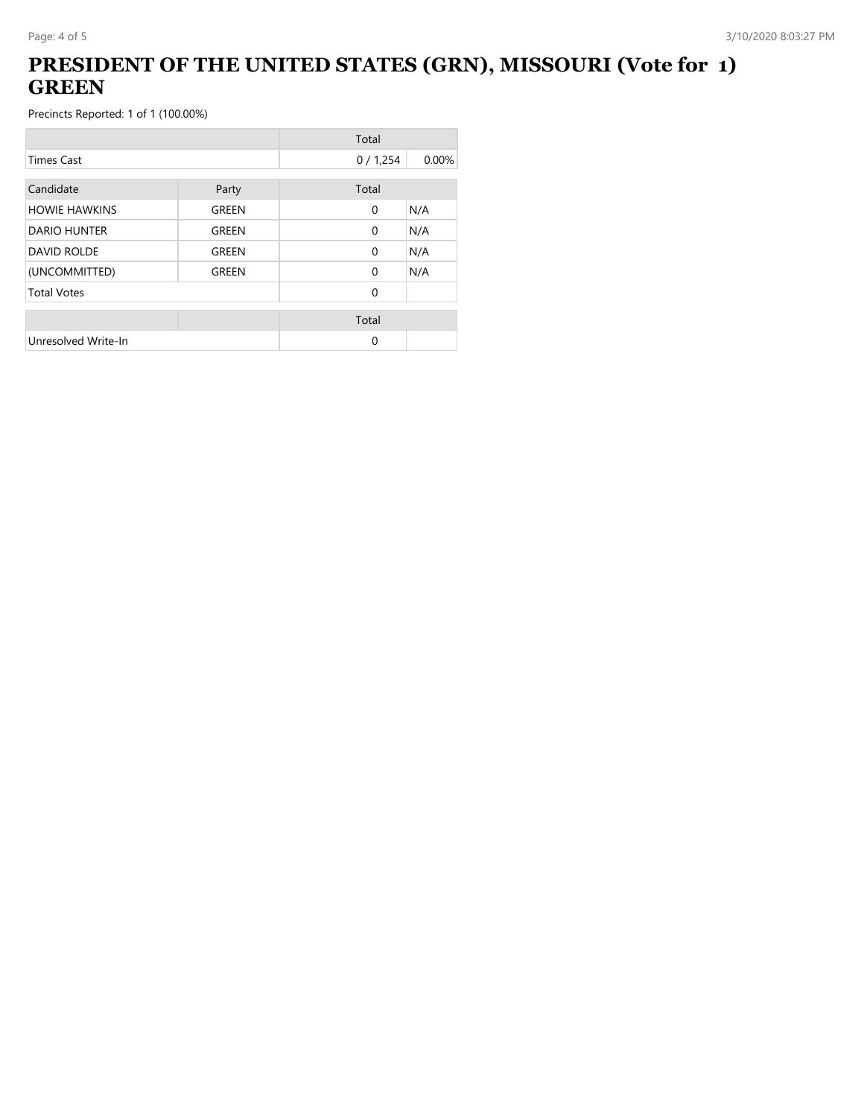## **PRESIDENT OF THE UNITED STATES (GRN), MISSOURI (Vote for 1) GREEN**

|                      |       | Total        |       |
|----------------------|-------|--------------|-------|
| <b>Times Cast</b>    |       | 0/1,254      | 0.00% |
| Candidate            | Party | Total        |       |
| <b>HOWIE HAWKINS</b> | GREEN | $\mathbf{0}$ | N/A   |
| <b>DARIO HUNTER</b>  | GREEN | $\Omega$     | N/A   |
| <b>DAVID ROLDE</b>   | GREEN | $\mathbf{0}$ | N/A   |
| (UNCOMMITTED)        | GREEN | $\Omega$     | N/A   |
| <b>Total Votes</b>   |       | $\Omega$     |       |
|                      |       | Total        |       |
| Unresolved Write-In  |       | 0            |       |